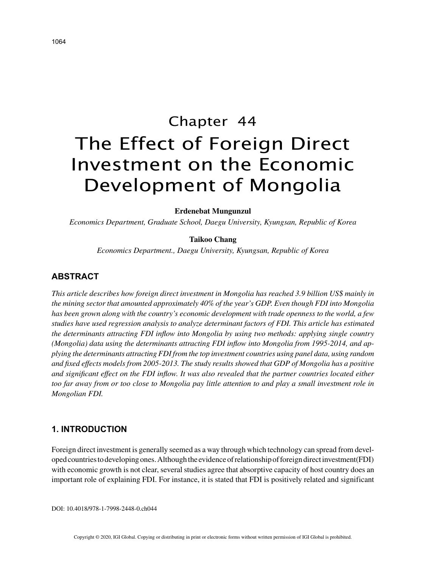# Chapter 44 The Effect of Foreign Direct Investment on the Economic Development of Mongolia

### **Erdenebat Mungunzul**

*Economics Department, Graduate School, Daegu University, Kyungsan, Republic of Korea*

## **Taikoo Chang**

*Economics Department., Daegu University, Kyungsan, Republic of Korea*

# **ABSTRACT**

*This article describes how foreign direct investment in Mongolia has reached 3.9 billion US\$ mainly in the mining sector that amounted approximately 40% of the year's GDP. Even though FDI into Mongolia has been grown along with the country's economic development with trade openness to the world, a few studies have used regression analysis to analyze determinant factors of FDI. This article has estimated the determinants attracting FDI inflow into Mongolia by using two methods: applying single country (Mongolia) data using the determinants attracting FDI inflow into Mongolia from 1995-2014, and applying the determinants attracting FDI from the top investment countries using panel data, using random and fixed effects models from 2005-2013. The study results showed that GDP of Mongolia has a positive and significant effect on the FDI inflow. It was also revealed that the partner countries located either too far away from or too close to Mongolia pay little attention to and play a small investment role in Mongolian FDI.*

## **1. INTRODUCTION**

Foreign direct investment is generally seemed as a way through which technology can spread from developed countries to developing ones. Although the evidence of relationship of foreign direct investment(FDI) with economic growth is not clear, several studies agree that absorptive capacity of host country does an important role of explaining FDI. For instance, it is stated that FDI is positively related and significant

DOI: 10.4018/978-1-7998-2448-0.ch044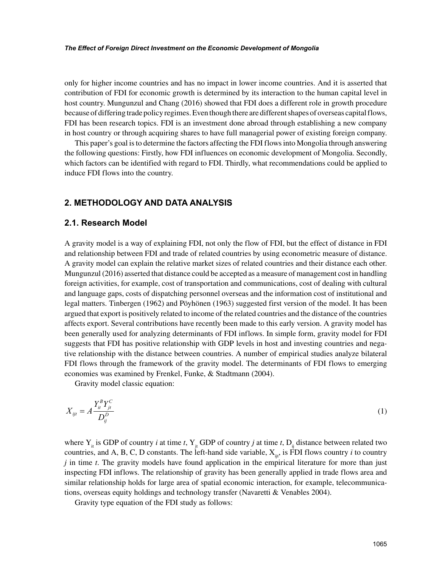only for higher income countries and has no impact in lower income countries. And it is asserted that contribution of FDI for economic growth is determined by its interaction to the human capital level in host country. Mungunzul and Chang (2016) showed that FDI does a different role in growth procedure because of differing trade policy regimes. Even though there are different shapes of overseas capital flows, FDI has been research topics. FDI is an investment done abroad through establishing a new company in host country or through acquiring shares to have full managerial power of existing foreign company.

This paper's goal is to determine the factors affecting the FDI flows into Mongolia through answering the following questions: Firstly, how FDI influences on economic development of Mongolia. Secondly, which factors can be identified with regard to FDI. Thirdly, what recommendations could be applied to induce FDI flows into the country.

## **2. METHODOLOGY AND DATA ANALYSIS**

## **2.1. Research Model**

A gravity model is a way of explaining FDI, not only the flow of FDI, but the effect of distance in FDI and relationship between FDI and trade of related countries by using econometric measure of distance. A gravity model can explain the relative market sizes of related countries and their distance each other. Mungunzul (2016) asserted that distance could be accepted as a measure of management cost in handling foreign activities, for example, cost of transportation and communications, cost of dealing with cultural and language gaps, costs of dispatching personnel overseas and the information cost of institutional and legal matters. Tinbergen (1962) and Pöyhönen (1963) suggested first version of the model. It has been argued that export is positively related to income of the related countries and the distance of the countries affects export. Several contributions have recently been made to this early version. A gravity model has been generally used for analyzing determinants of FDI inflows. In simple form, gravity model for FDI suggests that FDI has positive relationship with GDP levels in host and investing countries and negative relationship with the distance between countries. A number of empirical studies analyze bilateral FDI flows through the framework of the gravity model. The determinants of FDI flows to emerging economies was examined by Frenkel, Funke, & Stadtmann (2004).

Gravity model classic equation:

$$
X_{ijt} = A \frac{Y_{it}^B Y_{jt}^C}{D_{ij}^D}
$$
 (1)

where  $Y_{it}$  is GDP of country *i* at time *t*,  $Y_{it}$  GDP of country *j* at time *t*,  $D_{it}$  distance between related two countries, and A, B, C, D constants. The left-hand side variable,  $X_{\ldots}$ , is FDI flows country *i* to country *j* in time *t*. The gravity models have found application in the empirical literature for more than just inspecting FDI inflows. The relationship of gravity has been generally applied in trade flows area and similar relationship holds for large area of spatial economic interaction, for example, telecommunications, overseas equity holdings and technology transfer (Navaretti & Venables 2004).

Gravity type equation of the FDI study as follows: